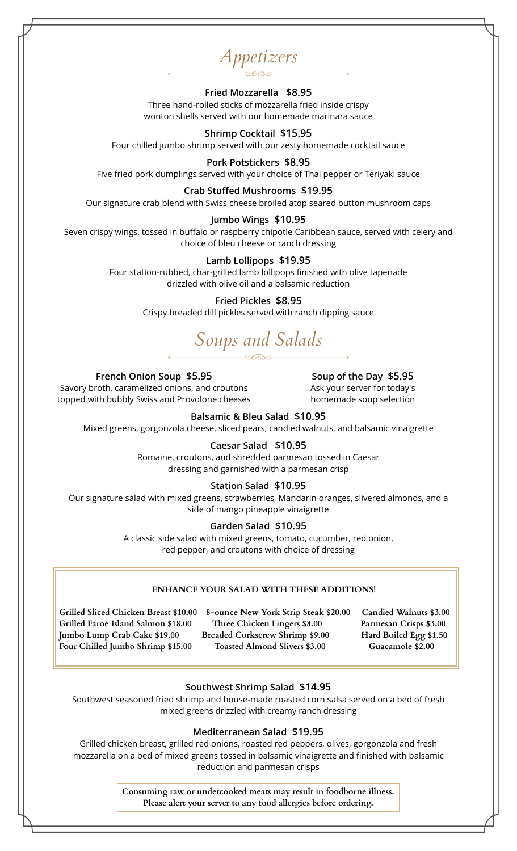*Appetizers*

# **Fried Mozzarella \$8.95**

Three hand-rolled sticks of mozzarella fried inside crispy wonton shells served with our homemade marinara sauce

# **Shrimp Cocktail \$15.95**

Four chilled jumbo shrimp served with our zesty homemade cocktail sauce

## **Pork Potstickers \$8.95**

Five fried pork dumplings served with your choice of Thai pepper or Teriyaki sauce

# **Crab Stuffed Mushrooms \$19.95**

Our signature crab blend with Swiss cheese broiled atop seared button mushroom caps

# **Jumbo Wings \$10.95**

Seven crispy wings, tossed in buffalo or raspberry chipotle Caribbean sauce, served with celery and choice of bleu cheese or ranch dressing

#### **Lamb Lollipops \$19.95**

Four station-rubbed, char-grilled lamb lollipops finished with olive tapenade drizzled with olive oil and a balsamic reduction

## **Fried Pickles \$8.95**

Crispy breaded dill pickles served with ranch dipping sauce

# *Soups and Salads*

**French Onion Soup \$5.95**

Savory broth, caramelized onions, and croutons topped with bubbly Swiss and Provolone cheeses

**Soup of the Day \$5.95** Ask your server for today's homemade soup selection

# **Balsamic & Bleu Salad \$10.95**

Mixed greens, gorgonzola cheese, sliced pears, candied walnuts, and balsamic vinaigrette

## **Caesar Salad \$10.95**

Romaine, croutons, and shredded parmesan tossed in Caesar dressing and garnished with a parmesan crisp

## **Station Salad \$10.95**

Our signature salad with mixed greens, strawberries, Mandarin oranges, slivered almonds, and a side of mango pineapple vinaigrette

# **Garden Salad \$10.95**

A classic side salad with mixed greens, tomato, cucumber, red onion, red pepper, and croutons with choice of dressing

# **ENHANCE YOUR SALAD WITH THESE ADDITIONS!**

**Grilled Sliced Chicken Breast \$10.00 8-ounce New York Strip Steak \$20.00 Candied Walnuts \$3.00 Grilled Faroe Island Salmon \$18.00 Three Chicken Fingers \$8.00 Parmesan Crisps \$3.00 Jumbo Lump Crab Cake \$19.00 Breaded Corkscrew Shrimp \$9.00 Hard Boiled Egg \$1.50** Four Chilled Jumbo Shrimp \$15.00 Toasted Almond Slivers \$3.00 Guacamole \$2.00

#### **Southwest Shrimp Salad \$14.95**

Southwest seasoned fried shrimp and house-made roasted corn salsa served on a bed of fresh mixed greens drizzled with creamy ranch dressing

#### **Mediterranean Salad \$19.95**

Grilled chicken breast, grilled red onions, roasted red peppers, olives, gorgonzola and fresh mozzarella on a bed of mixed greens tossed in balsamic vinaigrette and finished with balsamic reduction and parmesan crisps

> **Consuming raw or undercooked meats may result in foodborne illness. Please alert your server to any food allergies before ordering.**